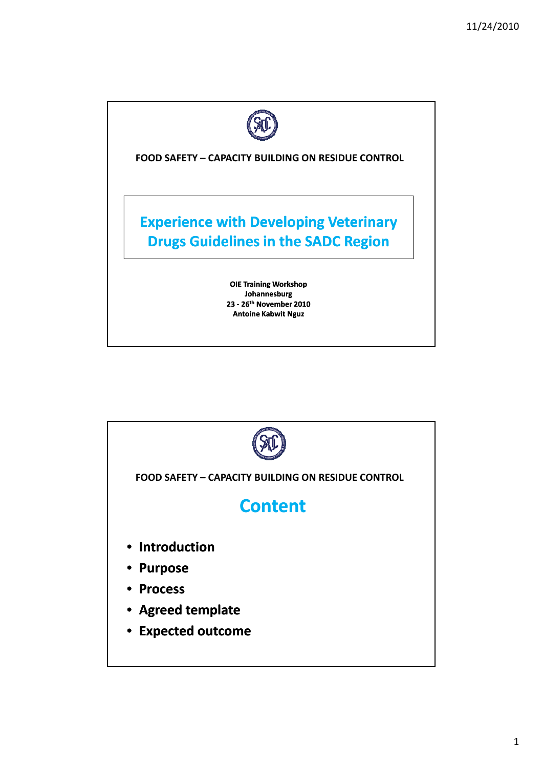

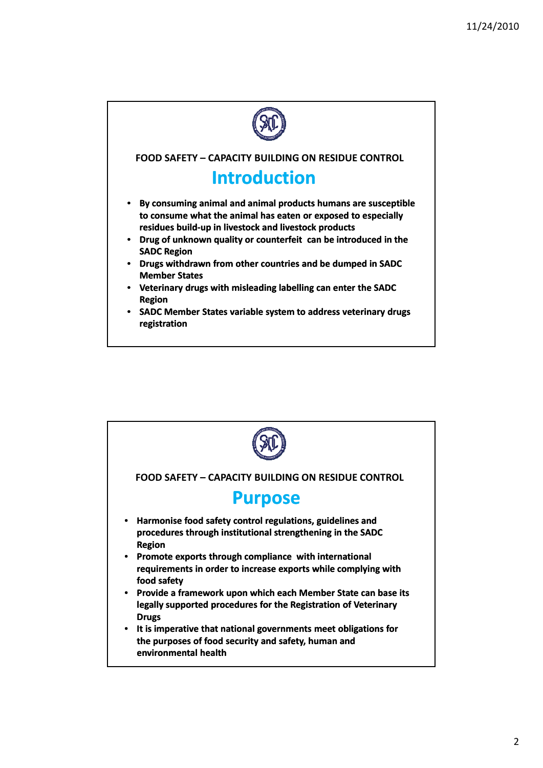

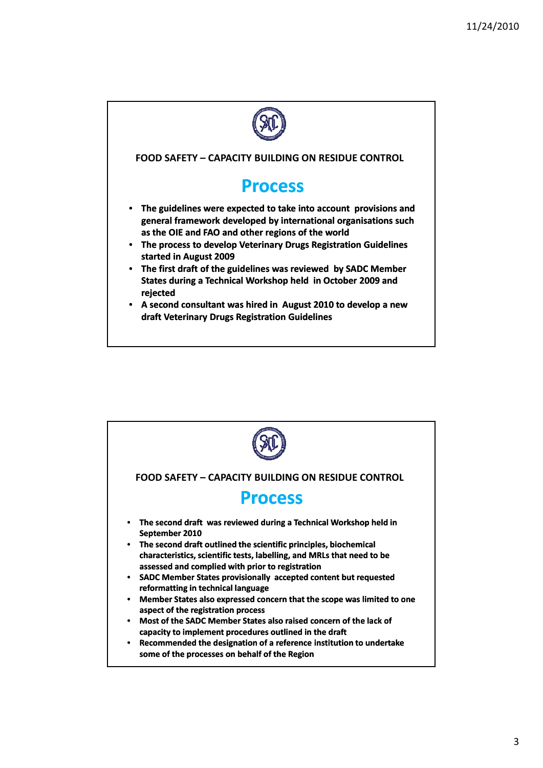

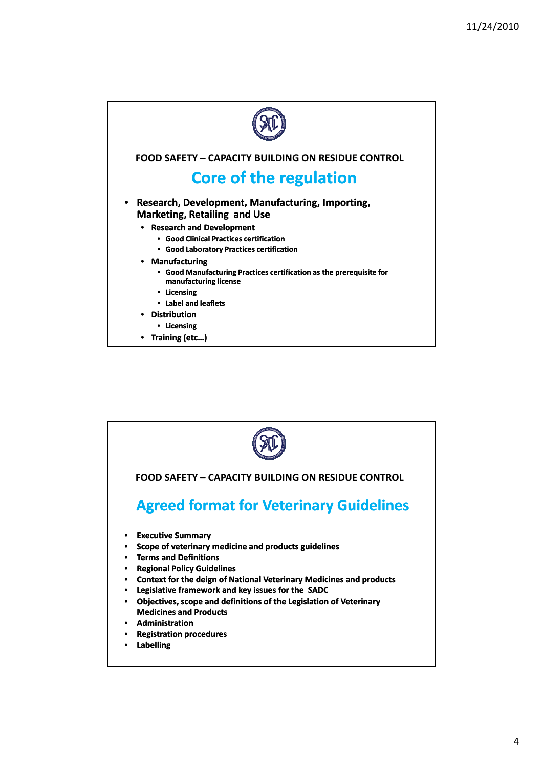

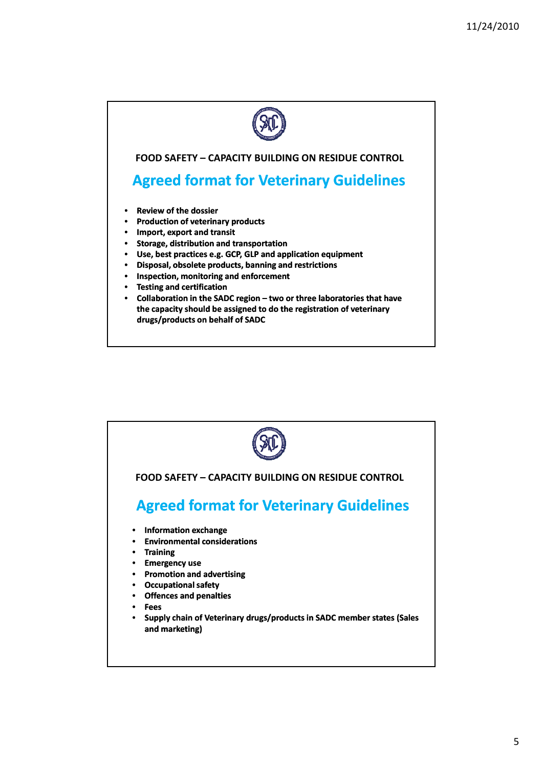

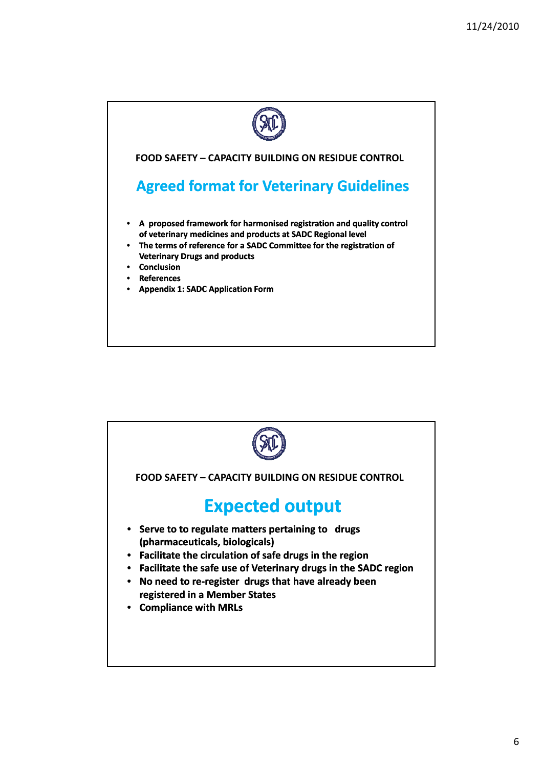